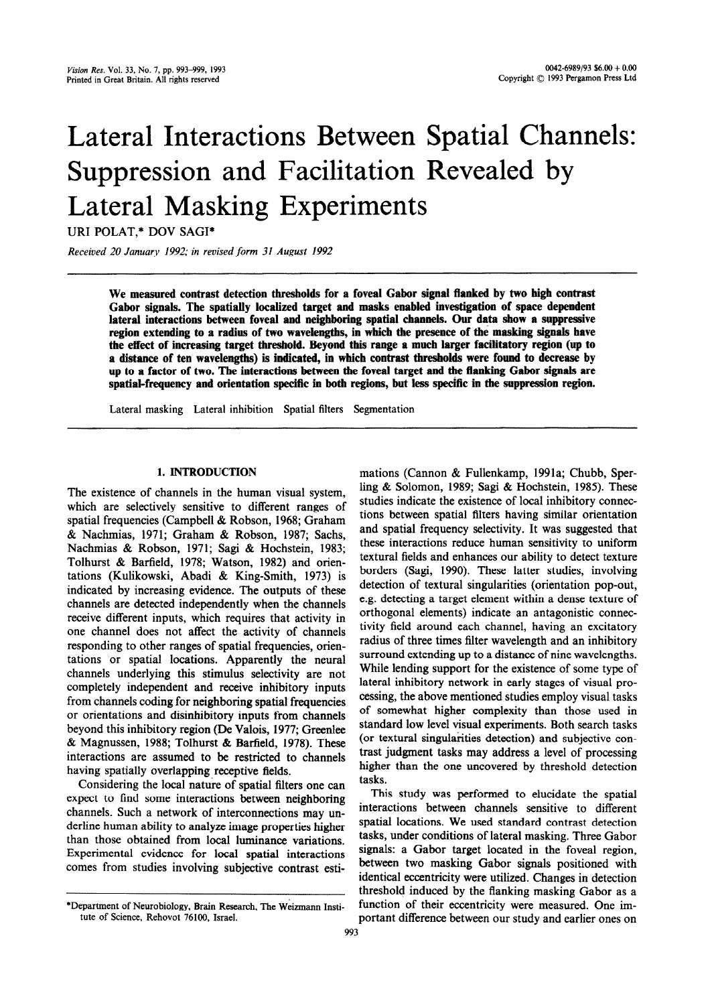# Lateral Interactions Between Spatial Channels: Suppression and Facilitation Revealed by Lateral Masking Experiments

URI POLAT,\* DOV SAGI\*

*Received 20 January 1992; in* revised **form** *31 August 1992* 

**We measured contrast detection thresholds for a fovea1 Gabor signal** flanked **by two high contrast**  Gabor signals. The spatially localized target and masks enabled investigation of space dependent lateral interactions between foveal and neighboring spatial channels. Our data show a suppressive region extending to a radius of two wavelengths, in which the presence of the masking signals have **the effect of increasing target threshold. Beyond this range a much larger facilitatory region (up to a distance of ten wavelengths) is indicated, in which contrast thresholds were found to decrease by up to a factor of two. Tbe interactions between the fovea1 target and the flanking Gabor signals are**  spatial-frequency and orientation specific in both regions, but less specific in the suppression region.

Lateral masking Lateral inhibition Spatial filters Segmentation

# 1. INTRODUCTION

The existence of channels in the human visual system, which are selectively sensitive to different ranges of spatial frequencies (Campbell & Robson, 1968; Graham & Nachmias, 1971; Graham & Robson, 1987; Sachs, Nachmias & Robson, 1971; Sagi & Hochstein, 1983; Tolhurst & Barfield, 1978; Watson, 1982) and orientations (Kulikowski, Abadi & King-Smith, 1973) is indicated by increasing evidence. The outputs of these channels are detected independently when the channels receive different inputs, which requires that activity in one channel does not affect the activity of channels responding to other ranges of spatial frequencies, orientations or spatial locations. Apparently the neural channels underlying this stimulus selectivity are not completely independent and receive inhibitory inputs from channels coding for neighboring spatial frequencies or orientations and disinhibitory inputs from channels beyond this inhibitory region (De Valois, 1977; Greenlee & Magnussen, 1988; Tolhurst & Barfield, 1978). These interactions are assumed to be restricted to channels having spatially overlapping receptive fields.

Considering the local nature of spatial filters one can expect to find some interactions between neighboring channels. Such a network of interconnections may underline human ability to analyze image properties higher than those obtained from local luminance variations. Experimental evidence for local spatial interactions comes from studies involving subjective contrast estimations (Cannon & Fullenkamp, 1991a; Chubb, Sperling & Solomon, 1989; Sagi & Hochstein, 1985). These studies indicate the existence of local inhibitory connections between spatial filters having similar orientation and spatial frequency selectivity. It was suggested that these interactions reduce human sensitivity to uniform textural fields and enhances our ability to detect texture borders (Sagi, 1990). These latter studies, involving detection of textural singularities (orientation pop-out, e.g. detecting a target element within a dense texture of orthogonal elements) indicate an antagonistic connectivity field around each channel, having an excitatory radius of three times filter wavelength and an inhibitory surround extending up to a distance of nine wavelengths. While lending support for the existence of some type of lateral inhibitory network in early stages of visual processing, the above mentioned studies employ visual tasks of somewhat higher complexity than those used in standard low level visual experiments. Both search tasks (or textural singularities detection) and subjective contrast judgment tasks may address a level of processing higher than the one uncovered by threshold detection tasks.

This study was performed to elucidate the spatial interactions between channels sensitive to different spatial locations. We used standard contrast detection tasks, under conditions of lateral masking. Three Gabor signals: a Gabor target located in the foveal region, between two masking Gabor signals positioned with identical eccentricity were utilized. Changes in detection threshold induced by the flanking masking Gabor as a function of their eccentricity were measured. One important difference between our study and earlier ones on

<sup>\*</sup>Department of Neurobiology, Brain Research, The Weizmann Institute of Science, Rehovot 76100, Israel.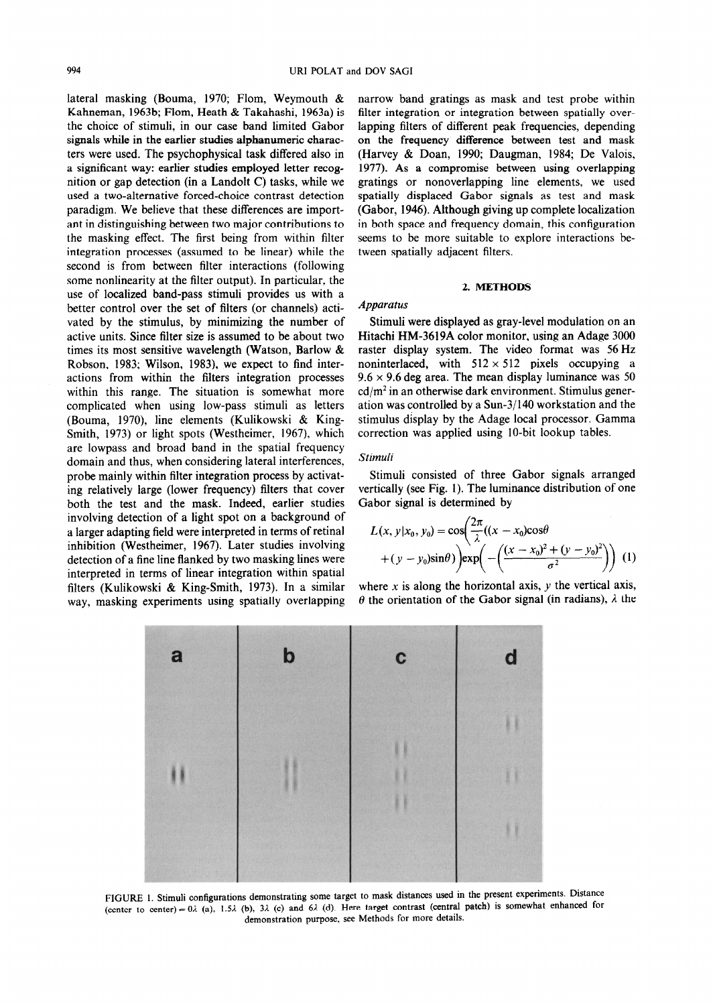lateral masking (Bouma, 1970; Flom, Weymouth & Kahneman, 1963b; Flom, Heath & Takahashi, 1963a) is the choice of stimuli, in our case band limited Gabor signals while in the earlier studies alphanumeric characters were used. The psychophysical task differed also in a significant way: earlier studies employed letter recognition or gap detection (in a Landolt C) tasks, while we used a two-alternative forced-choice contrast detection paradigm. We believe that these differences are important in distinguishing between two major contributions to the masking effect. The first being from within filter integration processes (assumed to be linear) while the second is from between filter interactions (following some nonlinearity at the filter output). In particular, the use of localized band-pass stimuli provides us with a better control over the set of filters (or channels) activated by the stimulus, by minimizing the number of active units. Since filter size is assumed to be about two times its most sensitive wavelength (Watson, Barlow & Robson, 1983; Wilson, 1983), we expect to find interactions from within the filters integration processes within this range. The situation is somewhat more complicated when using low-pass stimuli as letters (Bouma, 1970), line elements (Kulikowski & King-Smith, 1973) or light spots (Westheimer, 1967), which are lowpass and broad band in the spatial frequency domain and thus, when considering lateral interferences, probe mainly within filter integration process by activating relatively large (lower frequency) filters that cover both the test and the mask. Indeed, earlier studies involving detection of a light spot on a background of a larger adapting field were interpreted in terms of retinal inhibition (Westheimer, 1967). Later studies involving detection of a fine line flanked by two masking lines were interpreted in terms of linear integration within spatial filters (Kulikowski & King-Smith, 1973). In a similar way, masking experiments using spatially overlapping narrow band gratings as mask and test probe within filter integration or integration between spatially overlapping filters of different peak frequencies, depending on the frequency difference between test and mask (Harvey & Doan, 1990; Daugman, 1984; De Valois, 1977). As a compromise between using overlapping gratings or nonoverlapping line elements, we used spatially displaced Gabor signals as test and mask (Gabor, 1946). Although giving up complete localization in both space and frequency domain, this configuration seems to be more suitable to explore interactions between spatially adjacent filters.

## 2. **METHODS**

# *Apparatus*

Stimuli were displayed as gray-level modulation on an Hitachi HM-3619A color monitor, using an Adage 3000 raster display system. The video format was 56 Hz noninterlaced, with  $512 \times 512$  pixels occupying a  $9.6 \times 9.6$  deg area. The mean display luminance was 50  $cd/m<sup>2</sup>$  in an otherwise dark environment. Stimulus generation was controlled by a Sun-3/140 workstation and the stimulus display by the Adage local processor. Gamma correction was applied using IO-bit lookup tables.

#### *Stimuli*

Stimuli consisted of three Gabor signals arranged vertically (see Fig. 1). The luminance distribution of one Gabor signal is determined by

$$
L(x, y|x_0, y_0) = \cos\left(\frac{2\pi}{\lambda}((x - x_0)\cos\theta + (y - y_0)\sin\theta)\right) \exp\left(-\left(\frac{(x - x_0)^2 + (y - y_0)^2}{\sigma^2}\right)\right)
$$
 (1)

where x is along the horizontal axis,  $y$  the vertical axis,  $\theta$  the orientation of the Gabor signal (in radians),  $\lambda$  the



FIGURE 1. Stimuli configurations demonstrating some target to mask distances used in the present experiments. Distance (center to center) =  $0\lambda$  (a), 1.5 $\lambda$  (b), 3 $\lambda$  (c) and 6 $\lambda$  (d). Here target contrast (central patch) is somewhat enhanced for demonstration purpose, see Methods for more details.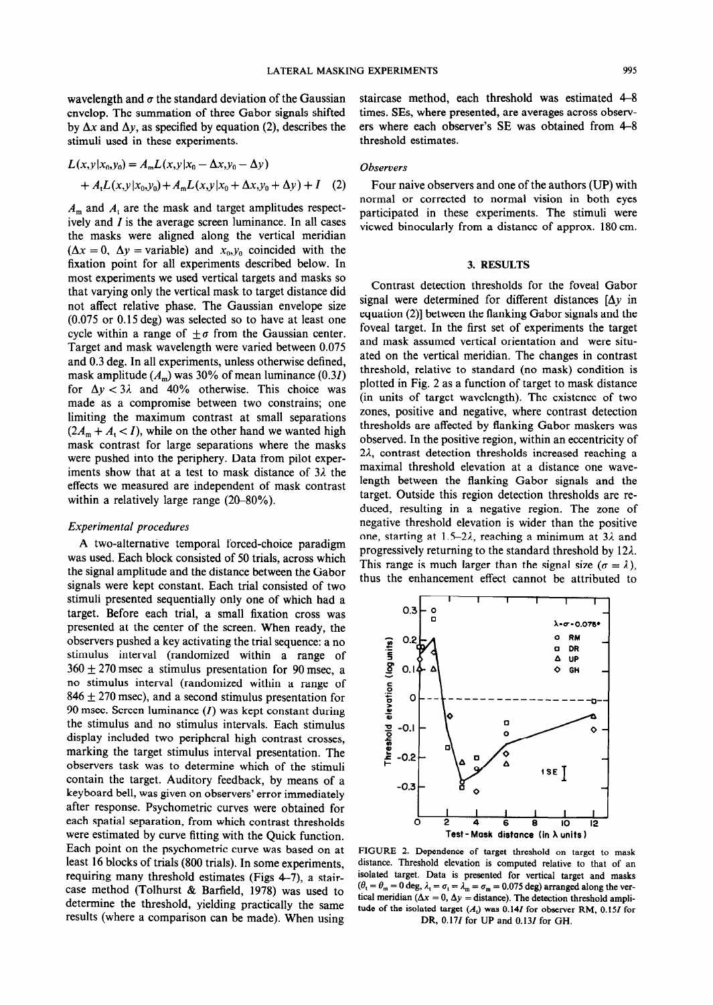wavelength and  $\sigma$  the standard deviation of the Gaussian envelop. The summation of three Gabor signals shifted by  $\Delta x$  and  $\Delta y$ , as specified by equation (2), describes the stimuli used in these experiments.

$$
L(x, y|x_0, y_0) = A_m L(x, y|x_0 - \Delta x, y_0 - \Delta y)
$$
  
+  $A_t L(x, y|x_0, y_0) + A_m L(x, y|x_0 + \Delta x, y_0 + \Delta y) + I$  (2)

 $A_m$  and  $A_l$  are the mask and target amplitudes respectively and  $I$  is the average screen luminance. In all cases the masks were aligned along the vertical meridian  $(\Delta x = 0, \Delta y = \text{variable})$  and  $x_0, y_0$  coincided with the fixation point for all experiments described below. In most experiments we used vertical targets and masks so that varying only the vertical mask to target distance did not affect relative phase. The Gaussian envelope size (0.075 or 0.15 deg) was selected so to have at least one cycle within a range of  $\pm \sigma$  from the Gaussian center. Target and mask wavelength were varied between 0.075 and 0.3 deg. In all experiments, unless otherwise defined, mask amplitude ( $A_m$ ) was 30% of mean luminance (0.3*I*) for  $\Delta y < 3\lambda$  and 40% otherwise. This choice was made as a compromise between two constrains; one limiting the maximum contrast at small separations  $(2A_m + A_t < I)$ , while on the other hand we wanted high mask contrast for large separations where the masks were pushed into the periphery. Data from pilot experiments show that at a test to mask distance of  $3\lambda$  the effects we measured are independent of mask contrast within a relatively large range  $(20-80\%)$ .

## *Experimental procedures*

A two-alternative temporal forced-choice paradigm was used. Each block consisted of 50 trials, across which the signal amplitude and the distance between the Gabor signals were kept constant. Each trial consisted of two stimuli presented sequentially only one of which had a target. Before each trial, a small fixation cross was presented at the center of the screen. When ready, the observers pushed a key activating the trial sequence: a no stimulus interval (randomized within a range of  $360 \pm 270$  msec a stimulus presentation for 90 msec, a no stimulus interval (randomized within a range of  $846 \pm 270$  msec), and a second stimulus presentation for 90 msec. Screen luminance  $(I)$  was kept constant during the stimulus and no stimulus intervals. Each stimulus display included two peripheral high contrast crosses, marking the target stimulus interval presentation. The observers task was to determine which of the stimuli contain the target. Auditory feedback, by means of a keyboard bell, was given on observers' error immediately after response. Psychometric curves were obtained for each spatial separation, from which contrast thresholds were estimated by curve fitting with the Quick function. Each point on the psychometric curve was based on at least 16 blocks of trials (800 trials). In some experiments, requiring many threshold estimates (Figs  $4-7$ ), a staircase method (Tolhurst & Barfield, 1978) was used to determine the threshold, yielding practically the same results (where a comparison can be made). When using

staircase method, each threshold was estimated 4-8 times. SEs, where presented, are averages across observers where each observer's SE was obtained from 4-8 threshold estimates.

# *Observers*

Four naive observers and one of the authors (UP) with normal or corrected to normal vision in both eyes participated in these experiments. The stimuli were viewed binocularly from a distance of approx. 180 cm.

# *3.* RESULTS

Contrast detection thresholds for the fovea1 Gabor signal were determined for different distances  $[\Delta y]$  in equation (2)] between the flanking Gabor signals and the fovea1 target. In the first set of experiments the target and mask assumed vertical orientation and were situated on the vertical meridian. The changes in contrast threshold, relative to standard (no mask) condition is plotted in Fig. 2 as a function of target to mask distance (in units of target wavelength). The existence of two zones, positive and negative, where contrast detection thresholds are affected by flanking Gabor maskers was observed. In the positive region, within an eccentricity of 22, contrast detection thresholds increased reaching a maximal threshold elevation at a distance one wavelength between the flanking Gabor signals and the target. Outside this region detection thresholds are reduced, resulting in a negative region. The zone of negative threshold elevation is wider than the positive one, starting at 1.5-2 $\lambda$ , reaching a minimum at 3 $\lambda$  and progressively returning to the standard threshold by 121. This range is much larger than the signal size  $(\sigma = \lambda)$ , thus the enhancement effect cannot be attributed to



FIGURE 2. Dependence of target threshold on target to mask distance. Threshold elevation is computed relative to that of an isolated target. Data is presented for vertical target and masks  $(\theta_{\rm t} = \theta_{\rm m} = 0 \text{ deg}, \lambda_{\rm t} = \sigma_{\rm t} = \lambda_{\rm m} = \sigma_{\rm m} = 0.075 \text{ deg})$  arranged along the vertical meridian ( $\Delta x = 0$ ,  $\Delta y =$  distance). The detection threshold amplitude of the isolated target  $(A<sub>t</sub>)$  was 0.14*I* for observer RM, 0.15*I* for DR, 0.17I for UP and 0.13I for GH.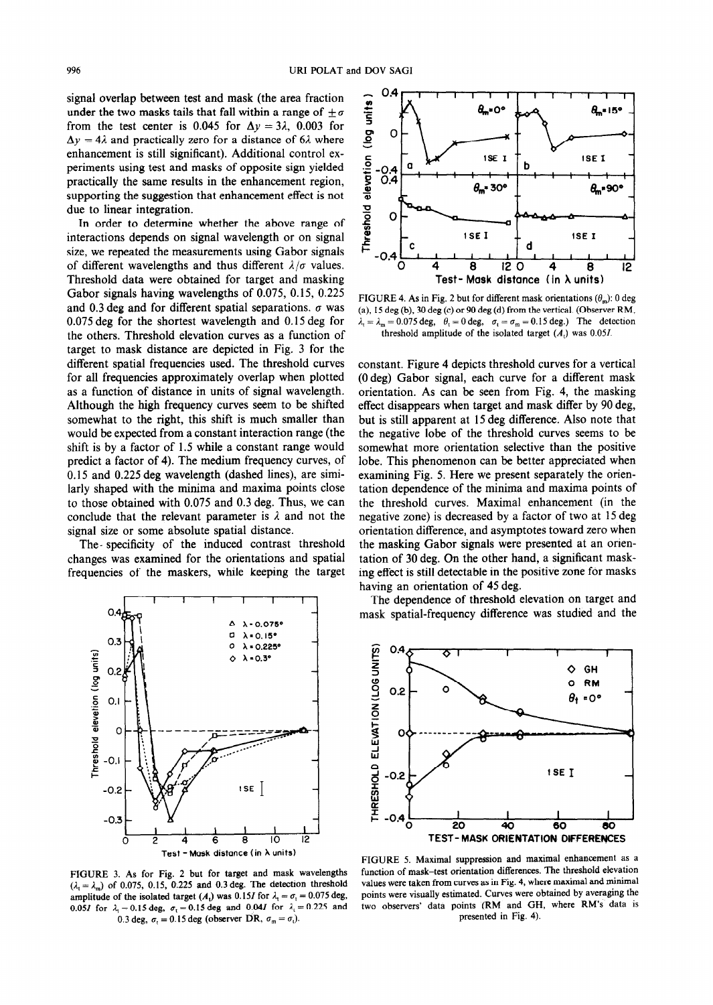signal overlap between test and mask (the area fraction under the two masks tails that fall within a range of  $\pm \sigma$ from the test center is 0.045 for  $\Delta y = 3\lambda$ , 0.003 for  $\Delta y = 4\lambda$  and practically zero for a distance of 6 $\lambda$  where enhancement is still significant). Additional control experiments using test and masks of opposite sign yielded practically the same results in the enhancement region, supporting the suggestion that enhancement effect is not due to linear integration.

In order to determine whether the above range of interactions depends on signal wavelength or on signal size, we repeated the measurements using Gabor signals of different wavelengths and thus different  $\lambda/\sigma$  values. Threshold data were obtained for target and masking Gabor signals having wavelengths of 0.075, 0.15, 0.225 and 0.3 deg and for different spatial separations.  $\sigma$  was 0.075 deg for the shortest wavelength and 0.15 deg for the others. Threshold elevation curves as a function of target to mask distance are depicted in Fig. 3 for the different spatial frequencies used. The threshold curves for all frequencies approximately overlap when plotted as a function of distance in units of signal wavelength. Although the high frequency curves seem to be shifted somewhat to the right, this shift is much smaller than would be expected from a constant interaction range (the shift is by a factor of 1.5 while a constant range would predict a factor of 4). The medium frequency curves, of 0.15 and 0.225 deg wavelength (dashed lines), are similarly shaped with the minima and maxima points close to those obtained with 0.075 and 0.3 deg. Thus, we can conclude that the relevant parameter is  $\lambda$  and not the signal size or some absolute spatial distance.

The- specificity of the induced contrast threshold changes was examined for the orientations and spatial frequencies of the maskers, while keeping the target



FIGURE 3. As for Fig. 2 but for target and mask wavelengths  $(\lambda_1 = \lambda_m)$  of 0.075, 0.15, 0.225 and 0.3 deg. The detection threshold amplitude of the isolated target (A<sub>t</sub>) was 0.15*I* for  $\lambda_t = \sigma_t = 0.075$  deg, 0.051 for  $\lambda_1 = 0.15 \text{ deg}, \sigma_1 = 0.15 \text{ deg}$  and 0.041 for  $\lambda_1 = 0.225$  and 0.3 deg,  $\sigma_1 = 0.15$  deg (observer DR,  $\sigma_m = \sigma_1$ ). presented in Fig. 4).



FIGURE 4. As in Fig. 2 but for different mask orientations  $(\theta_m)$ : 0 deg (a), 15 deg (b), 30 deg (c) or 90 deg (d) from the vertical. (Observer RM,  $\lambda_t = \lambda_m = 0.075 \text{ deg}, \quad \theta_t = 0 \text{ deg}, \quad \sigma_t = \sigma_m = 0.15 \text{ deg}.$  The detection threshold amplitude of the isolated target  $(A<sub>1</sub>)$  was 0.05*I*.

constant. Figure 4 depicts threshold curves for a vertical (0 deg) Gabor signal, each curve for a different mask orientation. As can be seen from Fig. 4, the masking effect disappears when target and mask differ by 90 deg, but is still apparent at 15 deg difference. Also note that the negative lobe of the threshold curves seems to be somewhat more orientation selective than the positive lobe. This phenomenon can be better appreciated when examining Fig. 5. Here we present separately the orientation dependence of the minima and maxima points of the threshold curves. Maximal enhancement (in the negative zone) is decreased by a factor of two at 15 deg orientation difference, and asymptotes toward zero when the masking Gabor signals were presented at an orientation of 30 deg. On the other hand, a significant masking effect is still detectable in the positive zone for masks having an orientation of 45 deg.

The dependence of threshold elevation on target and mask spatial-frequency difference was studied and the



FIGURE 5. Maximal suppression and maximal enhancement as a function of mask-test orientation differences. The threshold elevation values were taken from curves as in Fig. 4, where maximal and minimal points were visually estimated. Curves were obtained by averaging the two observers' data points (RM and GH, where RM's data is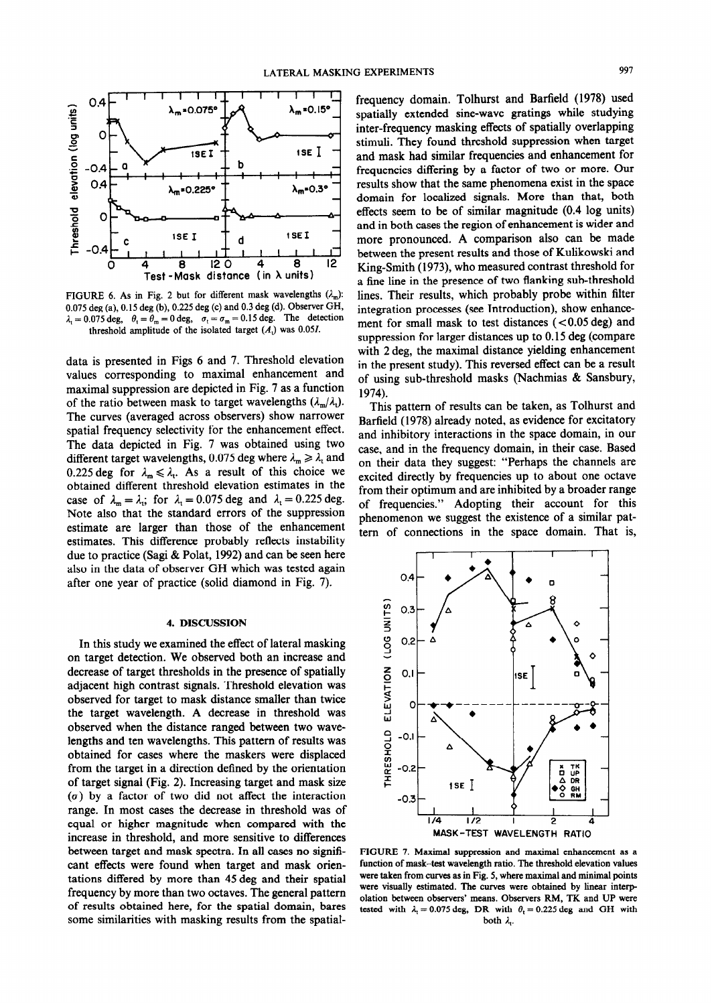

FIGURE 6. As in Fig. 2 but for different mask wavelengths  $(\lambda_m)$ : 0.075 deg (a), 0.15 deg (b), 0.225 deg (c) and 0.3 deg (d). Observer GH,  $\lambda_1 = 0.075 \text{ deg}, \quad \theta_1 = \theta_m = 0 \text{ deg}, \quad \sigma_1 = \sigma_m = 0.15 \text{ deg}.$  The detection threshold amplitude of the isolated target  $(A<sub>i</sub>)$  was 0.05*I*.

**data** is presented in Figs 6 and 7. Threshold elevation values corresponding to maximal enhancement and maximal suppression are depicted in Fig. 7 as a function of the ratio between mask to target wavelengths  $(\lambda_m/\lambda_t)$ . The curves (averaged across observers) show narrower spatial frequency selectivity for the enhancement effect. The data depicted in Fig. 7 was obtained using two different target wavelengths, 0.075 deg where  $\lambda_m \ge \lambda_t$  and 0.225 deg for  $\lambda_m \leq \lambda_t$ . As a result of this choice we obtained different threshold elevation estimates in the case of  $\lambda_m = \lambda_i$ ; for  $\lambda_i = 0.075$  deg and  $\lambda_i = 0.225$  deg. Note also that the standard errors of the suppression estimate are larger than those of the enhancement estimates. This difference probably reflects instability due to practice (Sagi & Polat, 1992) and can be seen here also in the data of observer GH which was tested again after one year of practice (solid diamond in Fig. 7).

#### **4.** DISCUSSION

In this study we examined the effect of lateral masking on target detection. We observed both an increase and decrease of target thresholds in the presence of spatially adjacent high contrast signals. Threshold elevation was observed for target to mask distance smaller than twice the target wavelength. A decrease in threshold was observed when the distance ranged between two wavelengths and ten wavelengths. This pattern of results was obtained for cases where the maskers were displaced from the target in a direction defined by the orientation of target signal (Fig. 2). Increasing target and mask size  $(\sigma)$  by a factor of two did not affect the interaction range. In most cases the decrease in threshold was of equal or higher magnitude when compared with the increase in threshold, and more sensitive to differences between target and mask spectra. In all cases no significant effects were found when target and mask orientations differed by more than 45 deg and their spatial frequency by more than two octaves. The general pattern of results obtained here, for the spatial domain, bares some similarities with masking results from the spatialfrequency domain. Tolhurst and Barfield (1978) used spatially extended sine-wave gratings while studying inter-frequency masking effects of spatially overlapping stimuli. They found threshold suppression when target and mask had similar frequencies and enhancement for frequencies differing by a factor of two or more. Our results show that the same phenomena exist in the space domain for localized signals. More than that, both effects seem to be of similar magnitude (0.4 log units) and in both cases the region of enhancement is wider and more pronounced. A comparison also can be made between the present results and those of Kulikowski and King-Smith (1973), who measured contrast threshold for a fine line in the presence of two flanking sub-threshold lines. Their results, which probably probe within filter integration processes (see Introduction), show enhancement for small mask to test distances (< 0.05 deg) and suppression for larger distances up to 0.15 deg (compare with 2 deg, the maximal distance yielding enhancement in the present study). This reversed effect can be a result of using sub-threshold masks (Nachmias & Sansbury, 1974).

This pattern of results can be taken, as Tolhurst and Barfield (1978) already noted, as evidence for excitatory and inhibitory interactions in the space domain, in our case, and in the frequency domain, in their case. Based on their data they suggest: "Perhaps the channels are excited directly by frequencies up to about one octave from their optimum and are inhibited by a broader range of frequencies." Adopting their account for this phenomenon we suggest the existence of a similar pattern of connections in the space domain. That is,



FIGURE 7. Maximal suppression and maximal enhancement as a function of mask-test wavelength ratio. The threshold elevation values were taken from curves as in Fig. 5, where maximal and minimal points were visually estimated. The curves were obtained by linear interpolation between observers' means. Observers RM, TK and UP were tested with  $\lambda_1 = 0.075$  deg, DR with  $\theta_1 = 0.225$  deg and GH with both  $\lambda$ .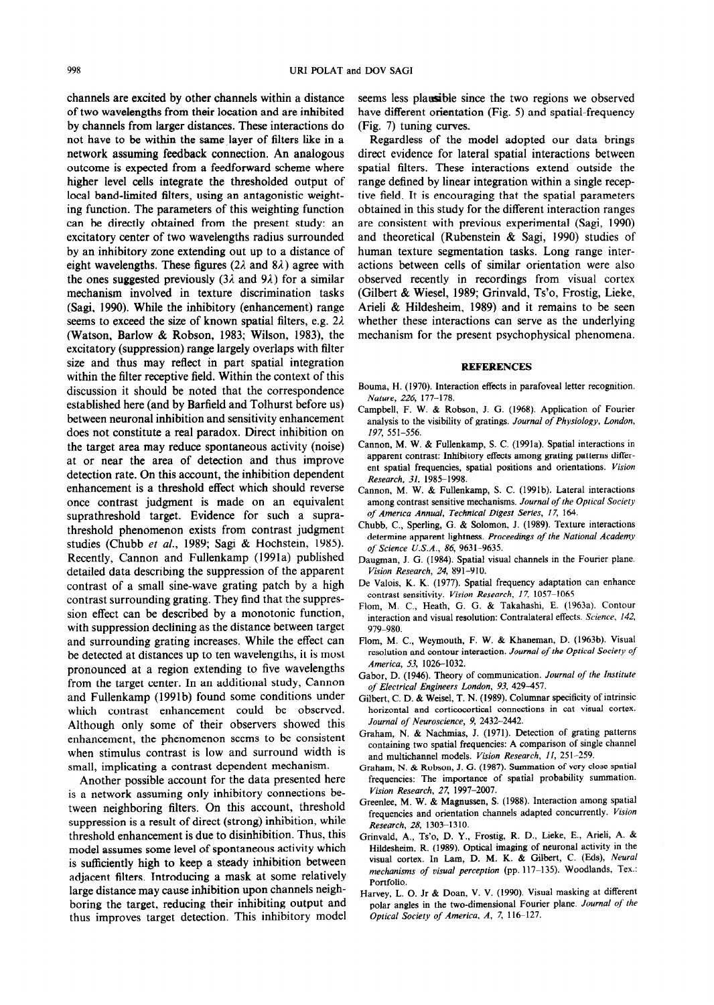channels are excited by other channels within a distance of two wavelengths from their location and are inhibited by channels from larger distances. These interactions do not have to be within the same layer of filters like in a network assuming feedback connection. An analogous outcome is expected from a feedforward scheme where higher level cells integrate the thresholded output of local band-limited filters, using an antagonistic weighting function. The parameters of this weighting function can be directly obtained from the present study: an excitatory center of two wavelengths radius surrounded by an inhibitory zone extending out up to a distance of eight wavelengths. These figures ( $2\lambda$  and  $8\lambda$ ) agree with the ones suggested previously (3 $\lambda$  and 9 $\lambda$ ) for a similar mechanism involved in texture discrimination tasks (Sagi, 1990). While the inhibitory (enhancement) range seems to exceed the size of known spatial filters, e.g.  $2\lambda$ (Watson, Barlow & Robson, 1983; Wilson, 1983), the excitatory (suppression) range largely overlaps with filter size and thus may reflect in part spatial integration within the filter receptive field. Within the context of this discussion it should be noted that the correspondence established here (and by Barfield and Tolhurst before us) between neuronal inhibition and sensitivity enhancement does not constitute a real paradox. Direct inhibition on the target area may reduce spontaneous activity (noise) at or near the area of detection and thus improve detection rate. On this account, the inhibition dependent enhancement is a threshold effect which should reverse once contrast judgment is made on an equivalent suprathreshold target. Evidence for such a suprathreshold phenomenon exists from contrast judgment studies (Chubb et al., 1989; Sagi & Hochstein, 1985). Recently, Cannon and Fullenkamp (1991a) published detailed data describing the suppression of the apparent contrast of a small sine-wave grating patch by a high contrast surrounding grating. They find that the suppression effect can be described by a monotonic function, with suppression declining as the distance between target and surrounding grating increases. While the effect can be detected at distances up to ten wavelengths, it is most pronounced at a region extending to five wavelengths from the target center. In an additional study, Cannon and Fullenkamp (1991b) found some conditions under which contrast enhancement could be observed. Although only some of their observers showed this enhancement, the phenomenon seems to be consistent when stimulus contrast is low and surround width is small, implicating a contrast dependent mechanism.

Another possible account for the data presented here is a network assuming only inhibitory connections between neighboring filters. On this account, threshold suppression is a result of direct (strong) inhibition, while threshold enhancement is due to disinhibition. Thus, this model assumes some level of spontaneous activity which is sufficiently high to keep a steady inhibition between adjacent filters. Introducing a mask at some relatively large distance may cause inhibition upon channels neighboring the target, reducing their inhibiting output and thus improves target detection. This inhibitory model

seems less plansible since the two regions we observed have different orientation (Fig. 5) and spatial-frequency (Fig. 7) tuning curves.

Regardless of the model adopted our data brings direct evidence for lateral spatial interactions between spatial filters. These interactions extend outside the range defined by linear integration within a single receptive field. It is encouraging that the spatial parameters obtained in this study for the different interaction ranges are consistent with previous experimental (Sagi, 1990) and theoretical (Rubenstein & Sagi, 1990) studies of human texture segmentation tasks. Long range interactions between cells of similar orientation were also observed recently in recordings from visual cortex (Gilbert & Wiesel, 1989; Grinvald, Ts'o, Frostig, Lieke, Arieli & Hildesheim, 1989) and it remains to be seen whether these interactions can serve as the underlying mechanism for the present psychophysical phenomena.

### REFERENCES

- Bouma, H. (1970). Interaction effects in parafoveal letter recognition. *Nature, 226, 177-178.*
- Campbell, F. W. & Robson, J. G. (1968). Application of Fourier analysis to the visibility of gratings. *Journal of Physiology. London, 197, 551-556.*
- Cannon, M. W. & Fullenkamp, S. C. (1991a). Spatial interactions in apparent contrast: Inhibitory effects among grating patterns different spatial frequencies, spatial positions and orientations. *Vision Research, 31, 1985-1998.*
- Cannon, M. W. & Fullenkamp, S. C. (1991b). Lateral interactions among contrast sensitive mechanisms. *Journal of the Optical Society of America Annual, Technical Digest Series, I7,* 164.
- Chubb, C., Sperling, G. & Solomon, J. (1989). Texture interactions determine apparent lightness. *Proceedings of the National Academy of Science U.S.A.,* 86, 9631-9635.
- Daugman, J. G. (1984). Spatial visual channels in the Fourier plane. *Vision Research, 24, 891-910.*
- De Valois, K. K. (1977). Spatial frequency adaptation can enhance contrast sensitivity. Vision Research, 17, 1057-1065
- Flom, M. C., Heath, G. G. & Takahashi, E. (1963a). Contour interaction and visual resolution: Contralateral effects. *Science,* 142, 979-980.
- Flom, M. C., Weymouth, F. W. & Khaneman, D. (1963b). Visual resolution and contour interaction. *Journal of the Optical Society of America, 53, 1026-1032.*
- Gabor, D. (1946). Theory of communication. *Journal of the Instifufe of Electrical Engineers London, 93, 429-457.*
- Gilbert, C. D. & Weisel, T. N. (1989). Columnar specificity of intrinsic horizontal and corticocortical connections in cat visual cortex. *Journal of Neuroscience, 9, 2432-2442.*
- Graham, N. & Nachmias, J. (1971). Detection of grating patterns containing two spatial frequencies: A comparison of single channel and multichannel models. *Vision Research, II, 251-259.*
- Graham, N. & Robson, J. G. (1987). Summation of very close spatial frequencies: The importance of spatial probability summation. *Vision Research, 27, 1997-2007.*
- Greenlee, M. W. & Magnussen, S. (1988). Interaction among spatial frequencies and orientation channels adapted concurrently. *Vision Research, 28,* 1303-1310.
- Grinvald, A., Ts'o, D. Y., Frostig, R. D., Lieke, E., Arieli, A. & Hildesheim, R. (1989). Optical imaging of neuronal activity in the visual cortex. In Lam, D. M. K. & Gilbert, C. (Eds), Neural *mechanisms of visual perception* (pp. 117-l 35). Woodlands, Tex.: Portfolio.
- Harvey, L. 0. Jr & Doan, V. V. (1990). Visual masking at different polar angles in the two-dimensional Fourier plane. *Journal of the Optical Society of America. A, 7,* 116-127.